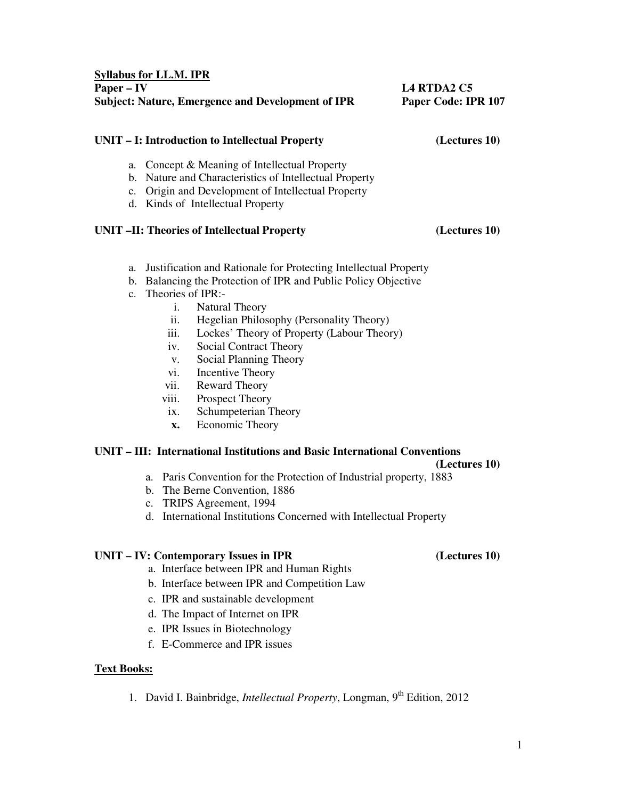- a. Justification and Rationale for Protecting Intellectual Property
- b. Balancing the Protection of IPR and Public Policy Objective
- c. Theories of IPR:-

**Syllabus for LL.M. IPR**

- i. Natural Theory
- ii. Hegelian Philosophy (Personality Theory)
- iii. Lockes' Theory of Property (Labour Theory)
- iv. Social Contract Theory
- v. Social Planning Theory
- vi. Incentive Theory
- vii. Reward Theory
- viii. Prospect Theory
- ix. Schumpeterian Theory
- **x.** Economic Theory

## **UNIT – III: International Institutions and Basic International Conventions**

### **(Lectures 10)**

- a. Paris Convention for the Protection of Industrial property, 1883
- b. The Berne Convention, 1886
- c. TRIPS Agreement, 1994
- d. International Institutions Concerned with Intellectual Property

## **UNIT – IV: Contemporary Issues in IPR (Lectures 10)**

- a. Interface between IPR and Human Rights
- b. Interface between IPR and Competition Law
- c. IPR and sustainable development
- d. The Impact of Internet on IPR
- e. IPR Issues in Biotechnology
- f. E-Commerce and IPR issues

### **Text Books:**

1. David I. Bainbridge, *Intellectual Property*, Longman, 9th Edition, 2012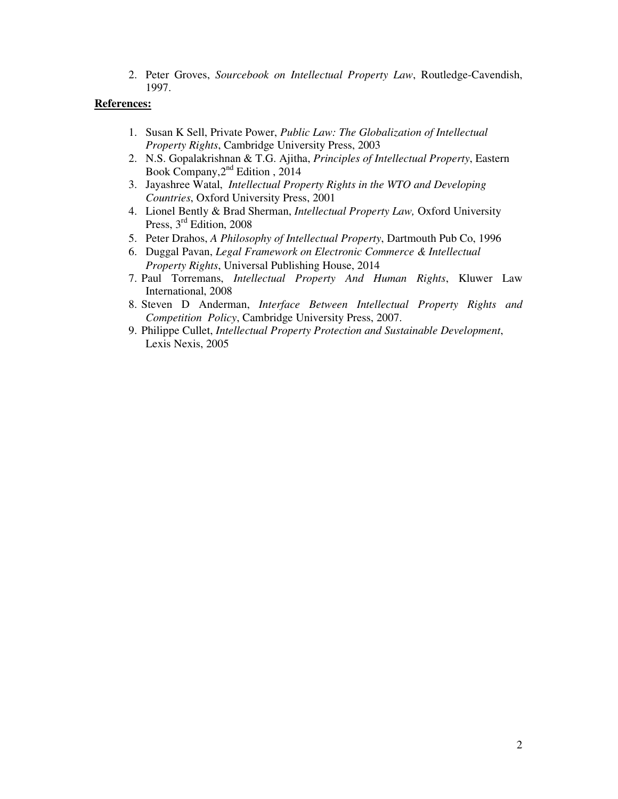2. Peter Groves, *Sourcebook on Intellectual Property Law*, Routledge-Cavendish, 1997.

- 1. Susan K Sell, Private Power, *Public Law: The Globalization of Intellectual Property Rights*, Cambridge University Press, 2003
- 2. N.S. Gopalakrishnan & T.G. Ajitha, *Principles of Intellectual Property*, Eastern Book Company, 2<sup>nd</sup> Edition, 2014
- 3. Jayashree Watal, *Intellectual Property Rights in the WTO and Developing Countries*, Oxford University Press, 2001
- 4. Lionel Bently & Brad Sherman, *Intellectual Property Law,* Oxford University Press, 3<sup>rd</sup> Edition, 2008
- 5. Peter Drahos, *A Philosophy of Intellectual Property*, Dartmouth Pub Co, 1996
- 6. Duggal Pavan, *Legal Framework on Electronic Commerce & Intellectual Property Rights*, Universal Publishing House, 2014
- 7. Paul Torremans, *Intellectual Property And Human Rights*, Kluwer Law International, 2008
- 8. Steven D Anderman, *Interface Between Intellectual Property Rights and Competition Policy*, Cambridge University Press, 2007.
- 9. Philippe Cullet, *Intellectual Property Protection and Sustainable Development*, Lexis Nexis, 2005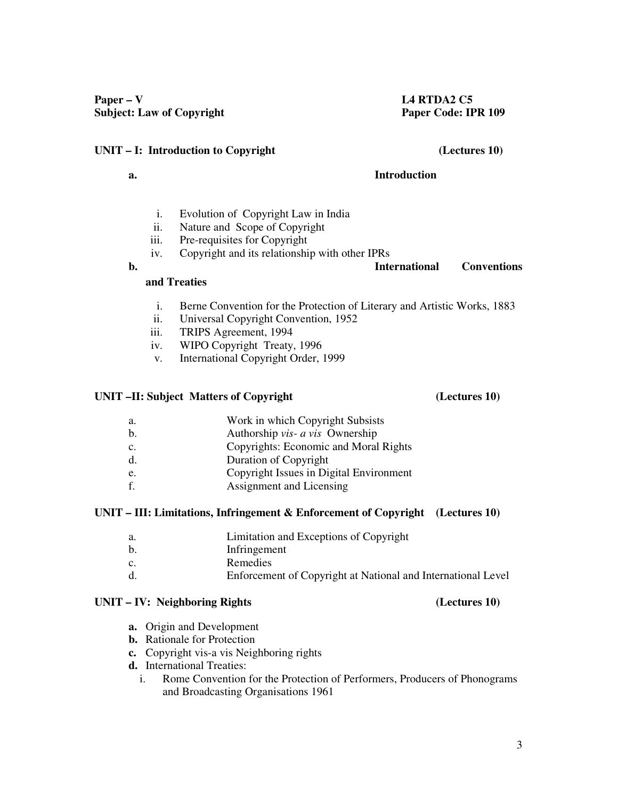# **UNIT – I: Introduction to Copyright (Lectures 10)**

# **a. Introduction**

- i. Evolution of Copyright Law in India
- ii. Nature and Scope of Copyright
- iii. Pre-requisites for Copyright
- iv. Copyright and its relationship with other IPRs **b. International Conventions**

# **and Treaties**

- i. Berne Convention for the Protection of Literary and Artistic Works, 1883
- ii. Universal Copyright Convention, 1952
- iii. TRIPS Agreement, 1994
- iv. WIPO Copyright Treaty, 1996
- v. International Copyright Order, 1999

# **UNIT –II: Subject Matters of Copyright (Lectures 10)**

- a. Work in which Copyright Subsists
- b. Authorship *vis- a vis* Ownership
- c. Copyrights: Economic and Moral Rights
- d. Duration of Copyright
- e. Copyright Issues in Digital Environment
- f. Assignment and Licensing

# **UNIT – III: Limitations, Infringement & Enforcement of Copyright (Lectures 10)**

- a. Limitation and Exceptions of Copyright
- b. Infringement
- c. Remedies
- d. Enforcement of Copyright at National and International Level

# **UNIT – IV: Neighboring Rights (Lectures 10)**

- **a.** Origin and Development
- **b.** Rationale for Protection
- **c.** Copyright vis-a vis Neighboring rights
- **d.** International Treaties:
	- i. Rome Convention for the Protection of Performers, Producers of Phonograms and Broadcasting Organisations 1961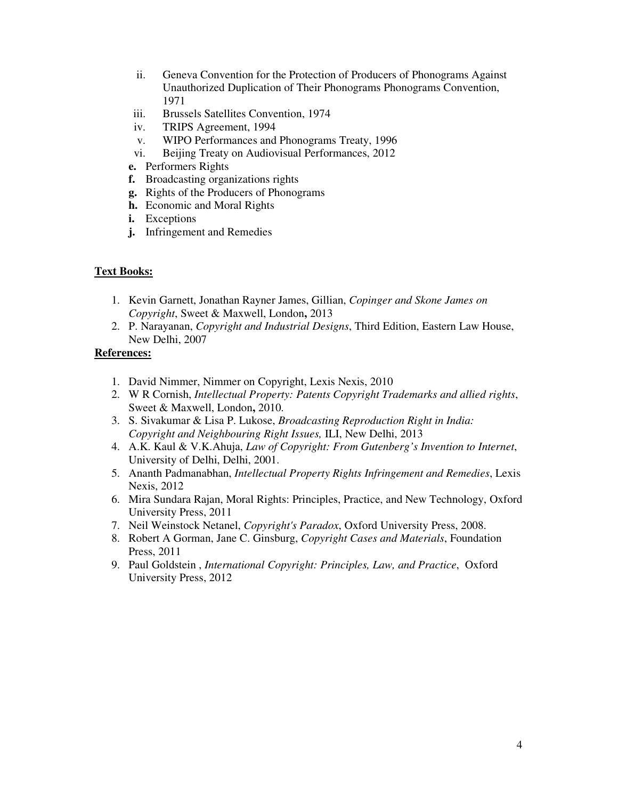- ii. Geneva Convention for the Protection of Producers of Phonograms Against Unauthorized Duplication of Their Phonograms Phonograms Convention, 1971
- iii. Brussels Satellites Convention, 1974
- iv. TRIPS Agreement, 1994
- v. WIPO Performances and Phonograms Treaty, 1996
- vi. Beijing Treaty on Audiovisual Performances, 2012
- **e.** Performers Rights
- **f.** Broadcasting organizations rights
- **g.** Rights of the Producers of Phonograms
- **h.** Economic and Moral Rights
- **i.** Exceptions
- **j.** Infringement and Remedies

## **Text Books:**

- 1. Kevin Garnett, Jonathan Rayner James, Gillian, *Copinger and Skone James on Copyright*, Sweet & Maxwell, London**,** 2013
- 2. P. Narayanan, *Copyright and Industrial Designs*, Third Edition, Eastern Law House, New Delhi, 2007

- 1. David Nimmer, Nimmer on Copyright, Lexis Nexis, 2010
- 2. W R Cornish, *Intellectual Property: Patents Copyright Trademarks and allied rights*, Sweet & Maxwell, London**,** 2010.
- 3. S. Sivakumar & Lisa P. Lukose, *Broadcasting Reproduction Right in India: Copyright and Neighbouring Right Issues,* ILI, New Delhi, 2013
- 4. A.K. Kaul & V.K.Ahuja, *Law of Copyright: From Gutenberg's Invention to Internet*, University of Delhi, Delhi, 2001.
- 5. Ananth Padmanabhan, *Intellectual Property Rights Infringement and Remedies*, Lexis Nexis, 2012
- 6. Mira Sundara Rajan, Moral Rights: Principles, Practice, and New Technology, Oxford University Press, 2011
- 7. Neil Weinstock Netanel, *Copyright's Paradox*, Oxford University Press, 2008.
- 8. Robert A Gorman, Jane C. Ginsburg, *Copyright Cases and Materials*, Foundation Press, 2011
- 9. Paul Goldstein , *International Copyright: Principles, Law, and Practice*, Oxford University Press, 2012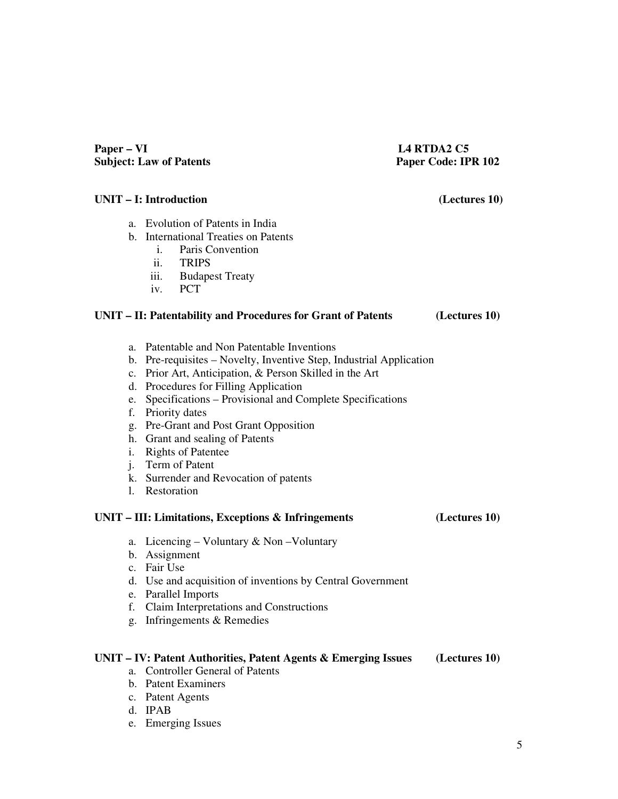## Paper – VI L4 RTDA2 C5 **Subject: Law of Patents Paper Code: IPR 102**

## **UNIT – I: Introduction (Lectures 10)**

a. Evolution of Patents in India

## b. International Treaties on Patents

- i. Paris Convention
- ii. TRIPS
- iii. Budapest Treaty
- iv. PCT

## **UNIT – II: Patentability and Procedures for Grant of Patents (Lectures 10)**

- a. Patentable and Non Patentable Inventions
- b. Pre-requisites Novelty, Inventive Step, Industrial Application
- c. Prior Art, Anticipation, & Person Skilled in the Art
- d. Procedures for Filling Application
- e. Specifications Provisional and Complete Specifications
- f. Priority dates
- g. Pre-Grant and Post Grant Opposition
- h. Grant and sealing of Patents
- i. Rights of Patentee
- j. Term of Patent
- k. Surrender and Revocation of patents
- l. Restoration

## **UNIT – III: Limitations, Exceptions & Infringements (Lectures 10)**

- a. Licencing Voluntary & Non –Voluntary
- b. Assignment
- c. Fair Use
- d. Use and acquisition of inventions by Central Government
- e. Parallel Imports
- f. Claim Interpretations and Constructions
- g. Infringements & Remedies

## **UNIT – IV: Patent Authorities, Patent Agents & Emerging Issues (Lectures 10)**

- a. Controller General of Patents
- b. Patent Examiners
- c. Patent Agents
- d. IPAB
- e. Emerging Issues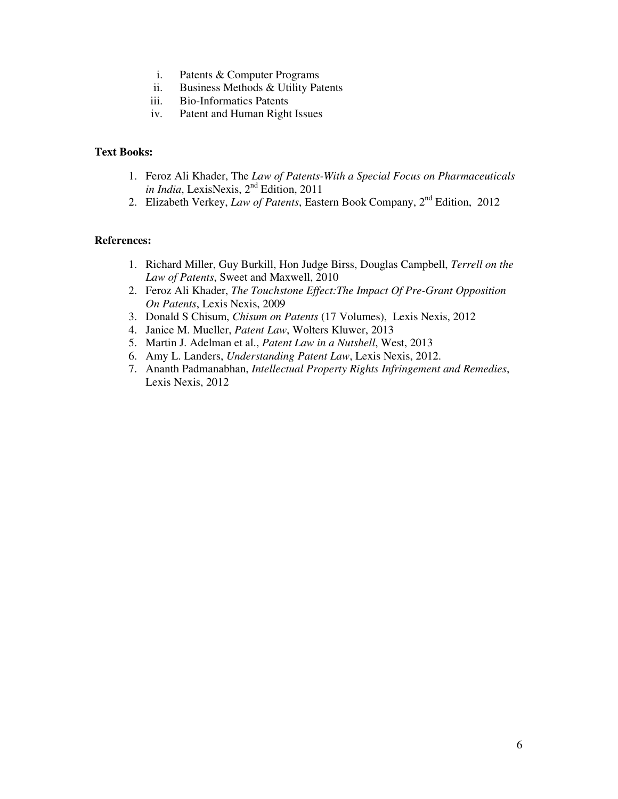- i. Patents & Computer Programs
- ii. Business Methods & Utility Patents
- iii. Bio-Informatics Patents
- iv. Patent and Human Right Issues

## **Text Books:**

- 1. Feroz Ali Khader, The *Law of Patents-With a Special Focus on Pharmaceuticals in India*, LexisNexis, 2nd Edition, 2011
- 2. Elizabeth Verkey, *Law of Patents*, Eastern Book Company, 2nd Edition, 2012

- 1. Richard Miller, Guy Burkill, Hon Judge Birss, Douglas Campbell, *Terrell on the Law of Patents*, Sweet and Maxwell, 2010
- 2. Feroz Ali Khader, *The Touchstone Effect:The Impact Of Pre-Grant Opposition On Patents*, Lexis Nexis, 2009
- 3. Donald S Chisum, *Chisum on Patents* (17 Volumes), Lexis Nexis, 2012
- 4. Janice M. Mueller, *Patent Law*, Wolters Kluwer, 2013
- 5. Martin J. Adelman et al., *Patent Law in a Nutshell*, West, 2013
- 6. Amy L. Landers, *Understanding Patent Law*, Lexis Nexis, 2012.
- 7. Ananth Padmanabhan, *Intellectual Property Rights Infringement and Remedies*, Lexis Nexis, 2012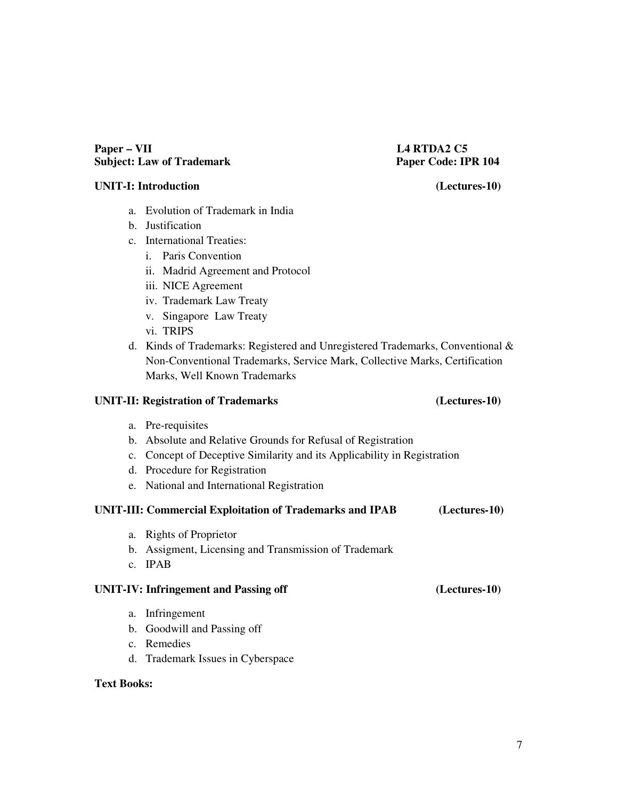## Paper – VII L4 RTDA2 C5 **Subject: Law of Trademark Paper Code: IPR 104**

## **UNIT-I: Introduction (Lectures-10)**

- a. Evolution of Trademark in India
- b. Justification
- c. International Treaties:
	- i. Paris Convention
	- ii. Madrid Agreement and Protocol
	- iii. NICE Agreement
	- iv. Trademark Law Treaty
	- v. Singapore Law Treaty
	- vi. TRIPS
- d. Kinds of Trademarks: Registered and Unregistered Trademarks, Conventional & Non-Conventional Trademarks, Service Mark, Collective Marks, Certification Marks, Well Known Trademarks

## **UNIT-II: Registration of Trademarks (Lectures-10)**

## a. Pre-requisites

- b. Absolute and Relative Grounds for Refusal of Registration
- c. Concept of Deceptive Similarity and its Applicability in Registration
- d. Procedure for Registration
- e. National and International Registration

## **UNIT-III: Commercial Exploitation of Trademarks and IPAB (Lectures-10)**

- a. Rights of Proprietor
- b. Assigment, Licensing and Transmission of Trademark
- c. IPAB

# **UNIT-IV: Infringement and Passing off (Lectures-10)**

- a. Infringement
- b. Goodwill and Passing off
- c. Remedies
- d. Trademark Issues in Cyberspace

# **Text Books:**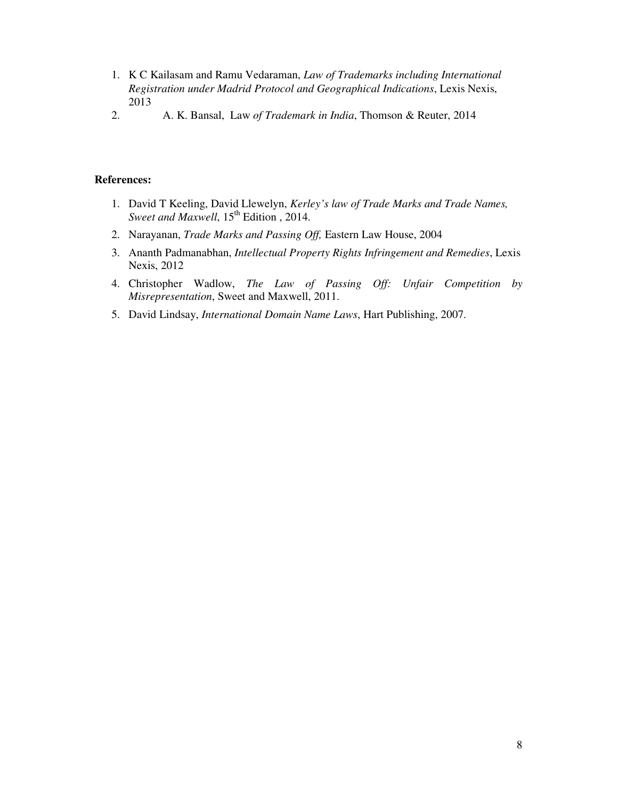- 1. K C Kailasam and Ramu Vedaraman, *Law of Trademarks including International Registration under Madrid Protocol and Geographical Indications*, Lexis Nexis, 2013
- 2. A. K. Bansal, Law *of Trademark in India*, Thomson & Reuter, 2014

- 1. David T Keeling, David Llewelyn, *Kerley's law of Trade Marks and Trade Names, Sweet and Maxwell*, 15<sup>th</sup> Edition, 2014.
- 2. Narayanan, *Trade Marks and Passing Off,* Eastern Law House, 2004
- 3. Ananth Padmanabhan, *Intellectual Property Rights Infringement and Remedies*, Lexis Nexis, 2012
- 4. Christopher Wadlow, *The Law of Passing Off: Unfair Competition by Misrepresentation*, Sweet and Maxwell, 2011.
- 5. David Lindsay, *International Domain Name Laws*, Hart Publishing, 2007.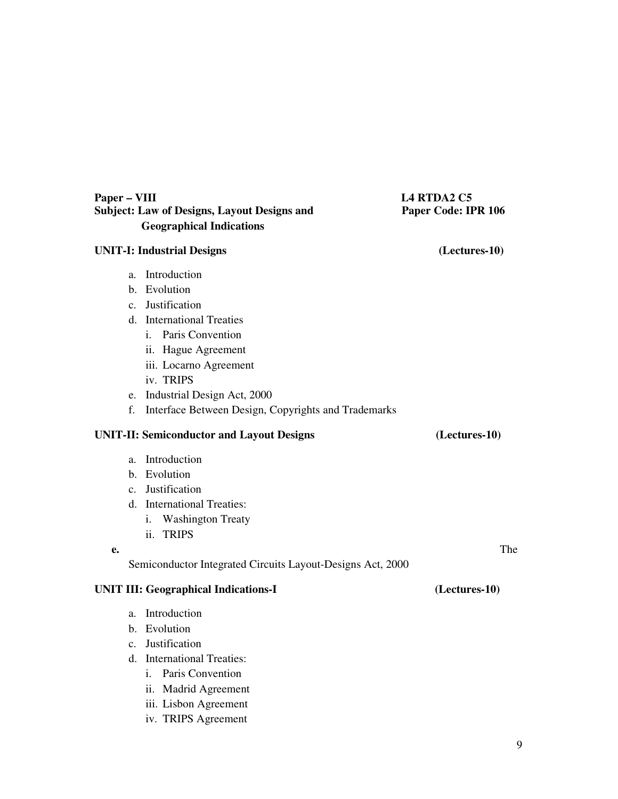| Paper - VIII<br><b>Subject: Law of Designs, Layout Designs and</b> |                                                            | <b>L4 RTDA2 C5</b><br>Paper Code: IPR 106 |  |
|--------------------------------------------------------------------|------------------------------------------------------------|-------------------------------------------|--|
|                                                                    | <b>Geographical Indications</b>                            |                                           |  |
| <b>UNIT-I: Industrial Designs</b>                                  |                                                            | (Lectures-10)                             |  |
| a.                                                                 | Introduction                                               |                                           |  |
|                                                                    | b. Evolution                                               |                                           |  |
|                                                                    | c. Justification                                           |                                           |  |
|                                                                    | d. International Treaties                                  |                                           |  |
|                                                                    | i. Paris Convention                                        |                                           |  |
|                                                                    | ii. Hague Agreement                                        |                                           |  |
|                                                                    | iii. Locarno Agreement                                     |                                           |  |
|                                                                    | iv. TRIPS                                                  |                                           |  |
|                                                                    | e. Industrial Design Act, 2000                             |                                           |  |
| f.                                                                 | Interface Between Design, Copyrights and Trademarks        |                                           |  |
|                                                                    | <b>UNIT-II: Semiconductor and Layout Designs</b>           | (Lectures-10)                             |  |
| a.                                                                 | Introduction                                               |                                           |  |
|                                                                    | b. Evolution                                               |                                           |  |
|                                                                    | c. Justification                                           |                                           |  |
|                                                                    | d. International Treaties:                                 |                                           |  |
|                                                                    | <b>Washington Treaty</b><br>i.                             |                                           |  |
|                                                                    | ii. TRIPS                                                  |                                           |  |
| e.                                                                 |                                                            | The                                       |  |
|                                                                    | Semiconductor Integrated Circuits Layout-Designs Act, 2000 |                                           |  |
|                                                                    | <b>UNIT III: Geographical Indications-I</b>                | (Lectures-10)                             |  |
| a.                                                                 | Introduction                                               |                                           |  |
|                                                                    | b. Evolution                                               |                                           |  |
|                                                                    | c. Justification                                           |                                           |  |
|                                                                    | d. International Treaties:                                 |                                           |  |
|                                                                    | Paris Convention<br>i.                                     |                                           |  |
|                                                                    | ii. Madrid Agreement                                       |                                           |  |

iii. Lisbon Agreement iv. TRIPS Agreement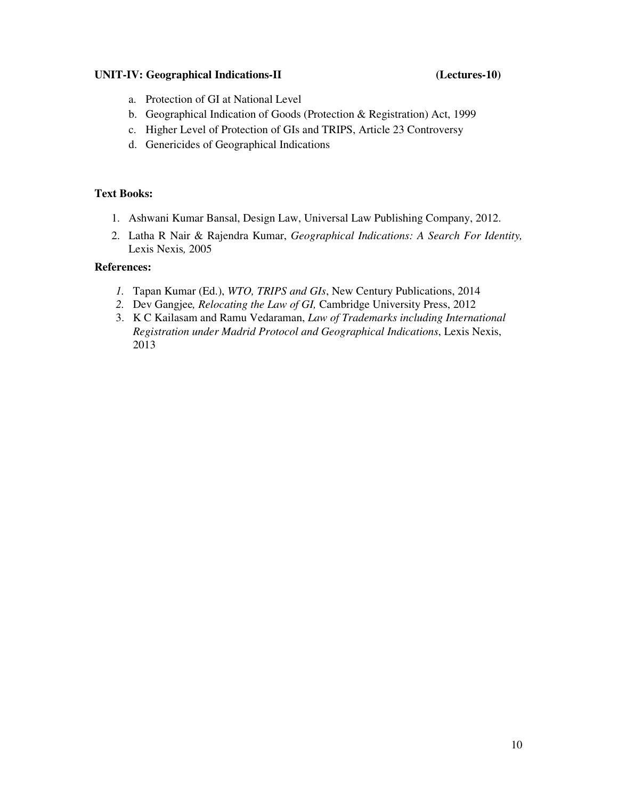## **UNIT-IV: Geographical Indications-II (Lectures-10)**

- a. Protection of GI at National Level
- b. Geographical Indication of Goods (Protection & Registration) Act, 1999
- c. Higher Level of Protection of GIs and TRIPS, Article 23 Controversy
- d. Genericides of Geographical Indications

## **Text Books:**

- 1. Ashwani Kumar Bansal, Design Law, Universal Law Publishing Company, 2012.
- 2. Latha R Nair & Rajendra Kumar, *Geographical Indications: A Search For Identity,*  Lexis Nexis*,* 2005

- *1.* Tapan Kumar (Ed.), *WTO, TRIPS and GIs*, New Century Publications, 2014
- *2.* Dev Gangjee*, Relocating the Law of GI,* Cambridge University Press, 2012
- 3. K C Kailasam and Ramu Vedaraman, *Law of Trademarks including International Registration under Madrid Protocol and Geographical Indications*, Lexis Nexis, 2013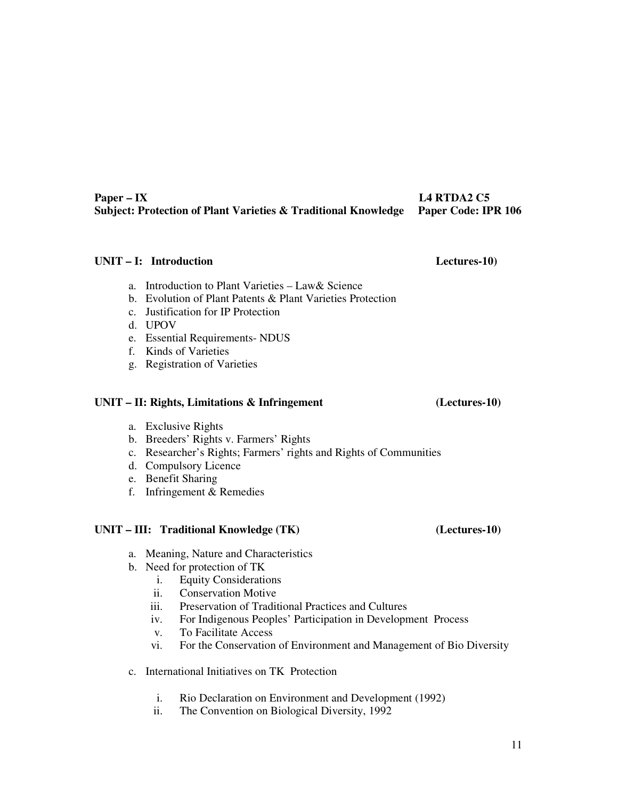## Paper – IX L4 RTDA2 C5 **Subject: Protection of Plant Varieties & Traditional Knowledge Paper Code: IPR 106**

## **UNIT – I: Introduction Lectures-10)**

- a. Introduction to Plant Varieties  $-$  Law & Science
- b. Evolution of Plant Patents & Plant Varieties Protection
- c. Justification for IP Protection
- d. UPOV
- e. Essential Requirements- NDUS
- f. Kinds of Varieties
- g. Registration of Varieties

## **UNIT – II: Rights, Limitations & Infringement (Lectures-10)**

- a. Exclusive Rights
- b. Breeders' Rights v. Farmers' Rights
- c. Researcher's Rights; Farmers' rights and Rights of Communities
- d. Compulsory Licence
- e. Benefit Sharing
- f. Infringement & Remedies

## **UNIT – III: Traditional Knowledge (TK) (Lectures-10)**

- a. Meaning, Nature and Characteristics
- b. Need for protection of TK
	- i. Equity Considerations
	- ii. Conservation Motive
	- iii. Preservation of Traditional Practices and Cultures
	- iv. For Indigenous Peoples' Participation in Development Process
	- v. To Facilitate Access
	- vi. For the Conservation of Environment and Management of Bio Diversity
- c. International Initiatives on TK Protection
	- i. Rio Declaration on Environment and Development (1992)
	- ii. The Convention on Biological Diversity, 1992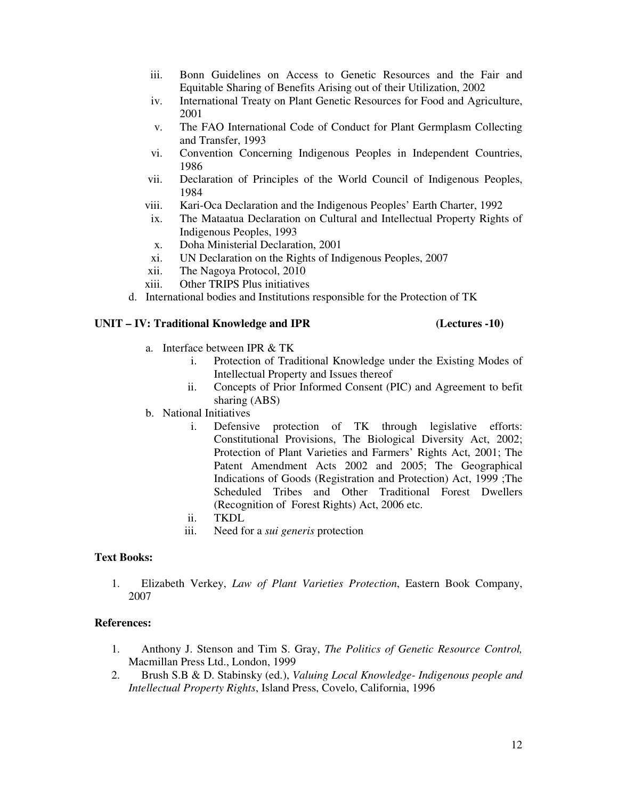- iii. Bonn Guidelines on Access to Genetic Resources and the Fair and Equitable Sharing of Benefits Arising out of their Utilization, 2002
- iv. International Treaty on Plant Genetic Resources for Food and Agriculture, 2001
- v. The FAO International Code of Conduct for Plant Germplasm Collecting and Transfer, 1993
- vi. Convention Concerning Indigenous Peoples in Independent Countries, 1986
- vii. Declaration of Principles of the World Council of Indigenous Peoples, 1984
- viii. Kari-Oca Declaration and the Indigenous Peoples' Earth Charter, 1992
- ix. The Mataatua Declaration on Cultural and Intellectual Property Rights of Indigenous Peoples, 1993
- x. Doha Ministerial Declaration, 2001
- xi. UN Declaration on the Rights of Indigenous Peoples, 2007
- xii. The Nagoya Protocol, 2010
- xiii. Other TRIPS Plus initiatives
- d. International bodies and Institutions responsible for the Protection of TK

### **UNIT – IV: Traditional Knowledge and IPR (Lectures -10)**

- a. Interface between IPR & TK
	- i. Protection of Traditional Knowledge under the Existing Modes of Intellectual Property and Issues thereof
	- ii. Concepts of Prior Informed Consent (PIC) and Agreement to befit sharing (ABS)
- b. National Initiatives
	- i. Defensive protection of TK through legislative efforts: Constitutional Provisions, The Biological Diversity Act, 2002; Protection of Plant Varieties and Farmers' Rights Act, 2001; The Patent Amendment Acts 2002 and 2005; The Geographical Indications of Goods (Registration and Protection) Act, 1999 ;The Scheduled Tribes and Other Traditional Forest Dwellers (Recognition of Forest Rights) Act, 2006 etc.
	- ii. TKDL
	- iii. Need for a *sui generis* protection

### **Text Books:**

1. Elizabeth Verkey, *Law of Plant Varieties Protection*, Eastern Book Company, 2007

- 1. Anthony J. Stenson and Tim S. Gray, *The Politics of Genetic Resource Control,*  Macmillan Press Ltd., London, 1999
- 2. Brush S.B & D. Stabinsky (ed.), *Valuing Local Knowledge- Indigenous people and Intellectual Property Rights*, Island Press, Covelo, California, 1996